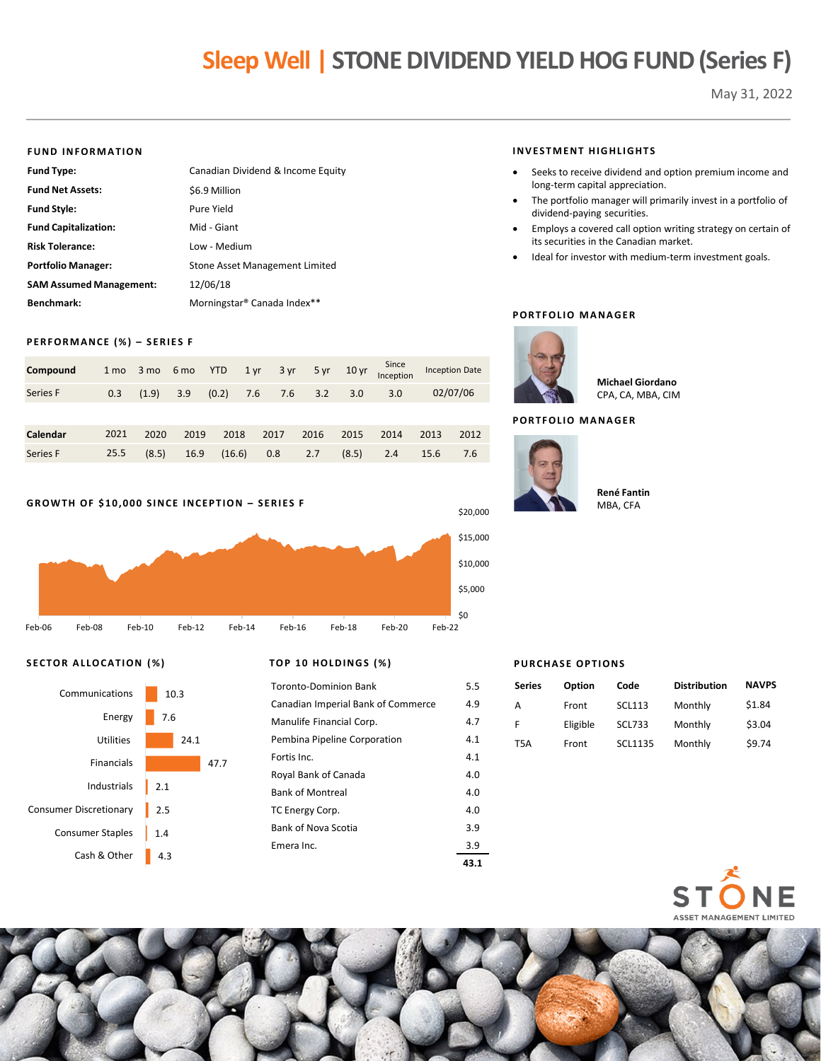# **Sleep Well | STONE DIVIDEND YIELD HOG FUND (Series F)**

May 31, 2022

#### **FUND INFORMATION**

| Fund Type:                     | Canadian Dividend & Income Equity       |
|--------------------------------|-----------------------------------------|
| <b>Fund Net Assets:</b>        | \$6.9 Million                           |
| Fund Style:                    | Pure Yield                              |
| <b>Fund Capitalization:</b>    | Mid - Giant                             |
| <b>Risk Tolerance:</b>         | Low - Medium                            |
| Portfolio Manager:             | Stone Asset Management Limited          |
| <b>SAM Assumed Management:</b> | 12/06/18                                |
| Benchmark:                     | Morningstar <sup>®</sup> Canada Index** |
|                                |                                         |

# **PERFORMANCE (%) – SERIES F**

| Compound |  |  |  |  |                                                            | 1 mo 3 mo 6 mo YTD 1 yr 3 yr 5 yr 10 yr Since Inception Date |
|----------|--|--|--|--|------------------------------------------------------------|--------------------------------------------------------------|
| Series F |  |  |  |  | $(0.3 \t(1.9) \t3.9 \t(0.2) \t7.6 \t7.6 \t3.2 \t3.0 \t3.0$ | 02/07/06                                                     |

| Calendar 2021 2020 2019 2018 2017 2016 2015 2014 2013 2012 |  |  |  |  |  |
|------------------------------------------------------------|--|--|--|--|--|
| Series F 25.5 (8.5) 16.9 (16.6) 0.8 2.7 (8.5) 2.4 15.6 7.6 |  |  |  |  |  |

## **GROWTH OF \$10,000 SINCE INCEPTION – SERIES F**



# **SECTOR ALLOCATION (%) T**



|  |  |  | OP 10 HOLDINGS (%) |  |
|--|--|--|--------------------|--|
|--|--|--|--------------------|--|

|                                    | 43.1 |
|------------------------------------|------|
| Emera Inc.                         | 3.9  |
| Bank of Nova Scotia                | 3.9  |
| TC Energy Corp.                    | 4.0  |
| <b>Bank of Montreal</b>            | 4.0  |
| Royal Bank of Canada               | 4.0  |
| Fortis Inc.                        | 4.1  |
| Pembina Pipeline Corporation       | 4.1  |
| Manulife Financial Corp.           | 4.7  |
| Canadian Imperial Bank of Commerce | 4.9  |
| <b>Toronto-Dominion Bank</b>       | 5.5  |

#### **INVESTMENT HIGHLIGHTS**

- Seeks to receive dividend and option premium income and long-term capital appreciation.
- The portfolio manager will primarily invest in a portfolio of dividend-paying securities.
- Employs a covered call option writing strategy on certain of its securities in the Canadian market.
- Ideal for investor with medium-term investment goals.

#### **PORTFOLIO MANAGER**



**Michael Giordano** CPA, CA, MBA, CIM

# **PORTFOLIO MANAGER**



\$20,000

#### **René Fantin** MBA, CFA

# **PURCHASE OPTIONS**

| Series | Option   | Code          | <b>Distribution</b> | <b>NAVPS</b> |
|--------|----------|---------------|---------------------|--------------|
| А      | Front    | <b>SCL113</b> | Monthly             | \$1.84       |
| F      | Eligible | <b>SCL733</b> | Monthly             | \$3.04       |
| T5A    | Front    | SCL1135       | Monthly             | \$9.74       |
|        |          |               |                     |              |